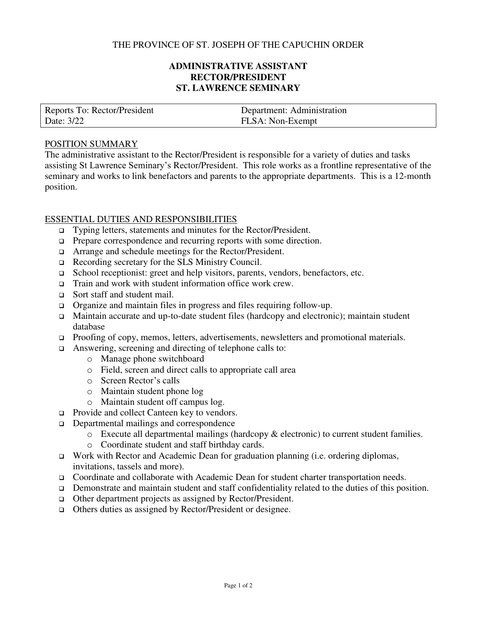### THE PROVINCE OF ST. JOSEPH OF THE CAPUCHIN ORDER

# **ADMINISTRATIVE ASSISTANT RECTOR/PRESIDENT ST. LAWRENCE SEMINARY**

| Reports To: Rector/President | Department: Administration |
|------------------------------|----------------------------|
| Date: 3/22                   | FLSA: Non-Exempt           |

#### POSITION SUMMARY

The administrative assistant to the Rector/President is responsible for a variety of duties and tasks assisting St Lawrence Seminary's Rector/President. This role works as a frontline representative of the seminary and works to link benefactors and parents to the appropriate departments. This is a 12-month position.

#### ESSENTIAL DUTIES AND RESPONSIBILITIES

- Typing letters, statements and minutes for the Rector/President.
- □ Prepare correspondence and recurring reports with some direction.
- Arrange and schedule meetings for the Rector/President.
- Recording secretary for the SLS Ministry Council.
- School receptionist: greet and help visitors, parents, vendors, benefactors, etc.
- □ Train and work with student information office work crew.
- □ Sort staff and student mail.
- Organize and maintain files in progress and files requiring follow-up.
- Maintain accurate and up-to-date student files (hardcopy and electronic); maintain student database
- □ Proofing of copy, memos, letters, advertisements, newsletters and promotional materials.
- Answering, screening and directing of telephone calls to:
	- o Manage phone switchboard
	- o Field, screen and direct calls to appropriate call area
	- o Screen Rector's calls
	- o Maintain student phone log
	- o Maintain student off campus log.
- □ Provide and collect Canteen key to vendors.
- Departmental mailings and correspondence
	- o Execute all departmental mailings (hardcopy & electronic) to current student families.
	- o Coordinate student and staff birthday cards.
- Work with Rector and Academic Dean for graduation planning (i.e. ordering diplomas, invitations, tassels and more).
- Coordinate and collaborate with Academic Dean for student charter transportation needs.
- Demonstrate and maintain student and staff confidentiality related to the duties of this position.
- Other department projects as assigned by Rector/President.
- Others duties as assigned by Rector/President or designee.